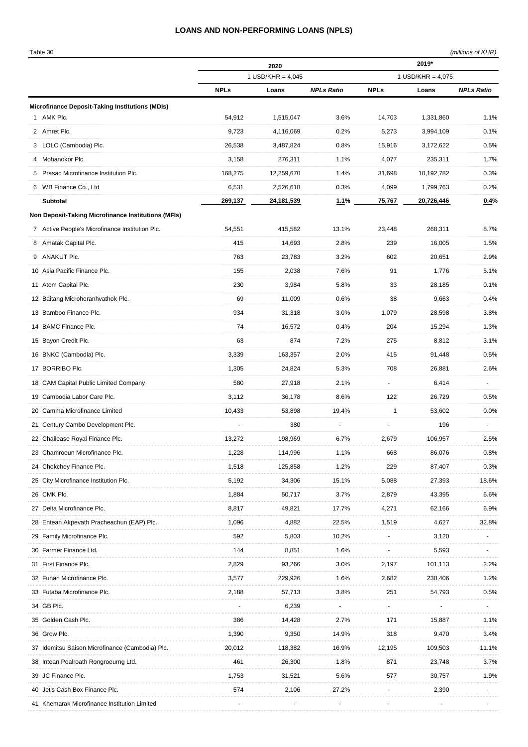## **LOANS AND NON-PERFORMING LOANS (NPLS)**

| Table 30                                                             |             |                     |                   |             |                     | (millions of KHR) |
|----------------------------------------------------------------------|-------------|---------------------|-------------------|-------------|---------------------|-------------------|
|                                                                      | 2020        |                     |                   | 2019*       |                     |                   |
|                                                                      | <b>NPLs</b> | $1$ USD/KHR = 4,045 | <b>NPLs Ratio</b> |             | $1$ USD/KHR = 4,075 |                   |
|                                                                      |             | Loans               |                   | <b>NPLs</b> | Loans               | <b>NPLs Ratio</b> |
| <b>Microfinance Deposit-Taking Institutions (MDIs)</b><br>1 AMK Plc. | 54,912      | 1,515,047           | 3.6%              | 14,703      | 1,331,860           | 1.1%              |
| 2 Amret Plc.                                                         | 9,723       | 4,116,069           | 0.2%              | 5,273       | 3,994,109           | 0.1%              |
| 3 LOLC (Cambodia) Plc.                                               | 26,538      | 3,487,824           | 0.8%              | 15,916      | 3,172,622           | 0.5%              |
| 4 Mohanokor Plc.                                                     | 3,158       |                     | 1.1%              | 4,077       |                     | 1.7%              |
|                                                                      |             | 276,311             |                   |             | 235,311             |                   |
| 5 Prasac Microfinance Institution Plc.                               | 168,275     | 12,259,670          | 1.4%              | 31,698      | 10,192,782          | 0.3%              |
| 6 WB Finance Co., Ltd                                                | 6,531       | 2,526,618           | 0.3%              | 4,099       | 1,799,763           | 0.2%              |
| <b>Subtotal</b>                                                      | 269,137     | 24,181,539          | 1.1%              | 75,767      | 20,726,446          | 0.4%              |
| Non Deposit-Taking Microfinance Institutions (MFIs)                  |             |                     |                   |             |                     |                   |
| 7 Active People's Microfinance Institution Plc.                      | 54,551      | 415,582             | 13.1%             | 23,448      | 268,311             | 8.7%              |
| 8 Amatak Capital Plc.                                                | 415         | 14,693              | 2.8%              | 239         | 16,005              | 1.5%              |
| 9 ANAKUT Plc.                                                        | 763         | 23,783              | 3.2%              | 602         | 20,651              | 2.9%              |
| 10 Asia Pacific Finance Plc.                                         | 155         | 2,038               | 7.6%              | 91          | 1,776               | 5.1%              |
| 11 Atom Capital Plc.                                                 | 230         | 3,984               | 5.8%              | 33          | 28,185              | 0.1%              |
| 12 Baitang Microheranhvathok Plc.                                    | 69          | 11,009              | 0.6%              | 38          | 9,663               | 0.4%              |
| 13 Bamboo Finance Plc.                                               | 934         | 31,318              | 3.0%              | 1,079       | 28,598              | 3.8%              |
| 14 BAMC Finance Plc.                                                 | 74          | 16,572              | 0.4%              | 204         | 15,294              | 1.3%              |
| 15 Bayon Credit Plc.                                                 | 63          | 874                 | 7.2%              | 275         | 8,812               | 3.1%              |
| 16 BNKC (Cambodia) Plc.                                              | 3,339       | 163,357             | 2.0%              | 415         | 91,448              | 0.5%              |
| 17 BORRIBO Plc.                                                      | 1,305       | 24,824              | 5.3%              | 708         | 26,881              | 2.6%              |
| 18 CAM Capital Public Limited Company                                | 580         | 27,918              | 2.1%              |             | 6,414               |                   |
| 19 Cambodia Labor Care Plc.                                          | 3,112       | 36,178              | 8.6%              | 122         | 26,729              | 0.5%              |
| 20 Camma Microfinance Limited                                        | 10,433      | 53,898              | 19.4%             | 1           | 53,602              | 0.0%              |
| 21 Century Cambo Development Plc.                                    |             | 380                 |                   |             | 196                 |                   |
| 22 Chailease Royal Finance Plc.                                      | 13,272      | 198,969             | 6.7%              | 2,679       | 106,957             | 2.5%              |
| 23 Chamroeun Microfinance Plc.                                       | 1,228       | 114,996             | 1.1%              | 668         | 86.076              | 0.8%              |
| 24 Chokchey Finance Plc.                                             | 1,518       | 125,858             | 1.2%              | 229         | 87,407              | 0.3%              |
| 25 City Microfinance Institution Plc.                                | 5,192       | 34,306              | 15.1%             | 5,088       | 27,393              | 18.6%             |
| 26 CMK Plc.                                                          | 1,884       | 50,717              | 3.7%              | 2,879       | 43,395              | 6.6%              |
| 27 Delta Microfinance Plc.                                           | 8,817       | 49,821              | 17.7%             | 4,271       | 62,166              | 6.9%              |
| 28 Entean Akpevath Pracheachun (EAP) Plc.                            | 1,096       | 4,882               | 22.5%             | 1,519       | 4,627               | 32.8%             |
| 29 Family Microfinance Plc.                                          | 592         | 5,803               | 10.2%             |             | 3,120               |                   |
| 30 Farmer Finance Ltd.                                               | 144         | 8,851               | 1.6%              |             | 5,593               |                   |
| 31 First Finance Plc.                                                | 2,829       | 93,266              | 3.0%              | 2,197       | 101,113             | 2.2%              |
| 32 Funan Microfinance Plc.                                           | 3,577       | 229,926             | 1.6%              | 2,682       | 230,406             | 1.2%              |
| 33 Futaba Microfinance Plc.                                          | 2,188       | 57,713              | 3.8%              | 251         | 54,793              | 0.5%              |
| 34 GB Plc.                                                           |             | 6,239               |                   |             |                     |                   |
| 35 Golden Cash Plc.                                                  | 386         | 14,428              | 2.7%              | 171         | 15,887              | 1.1%              |
| 36 Grow Plc.                                                         | 1,390       | 9,350               | 14.9%             | 318         | 9,470               | 3.4%              |
| 37 Idemitsu Saison Microfinance (Cambodia) Plc.                      | 20,012      | 118,382             | 16.9%             | 12,195      | 109,503             | 11.1%             |
| 38 Intean Poalroath Rongroeurng Ltd.                                 | 461         | 26,300              | 1.8%              | 871         | 23,748              | 3.7%              |
| 39 JC Finance Plc.                                                   | 1,753       | 31,521              | 5.6%              | 577         | 30,757              | 1.9%              |
| 40 Jet's Cash Box Finance Plc.                                       | 574         | 2,106               | 27.2%             |             | 2,390               |                   |
| 41 Khemarak Microfinance Institution Limited                         |             |                     |                   |             |                     |                   |